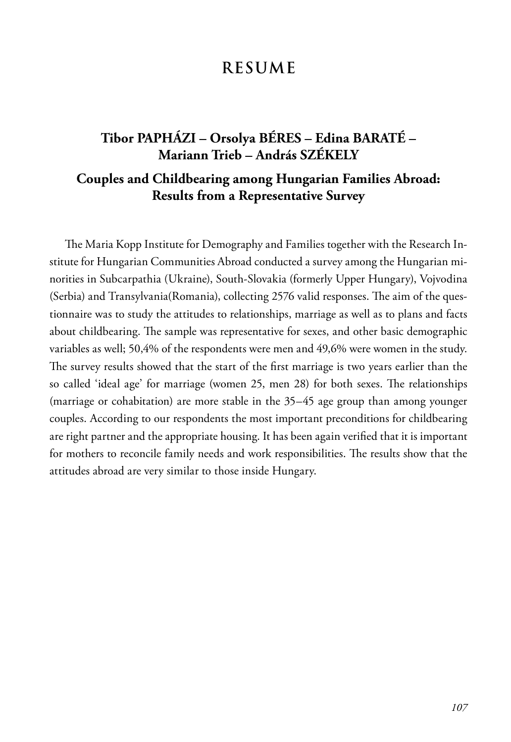## **RESUME**

#### **Tibor PAPHÁZI – Orsolya BÉRES – Edina BARATÉ – Mariann Trieb – András SZÉKELY**

#### **Couples and Childbearing among Hungarian Families Abroad: Results from a Representative Survey**

The Maria Kopp Institute for Demography and Families together with the Research Institute for Hungarian Communities Abroad conducted a survey among the Hungarian minorities in Subcarpathia (Ukraine), South-Slovakia (formerly Upper Hungary), Vojvodina (Serbia) and Transylvania(Romania), collecting 2576 valid responses. The aim of the questionnaire was to study the attitudes to relationships, marriage as well as to plans and facts about childbearing. The sample was representative for sexes, and other basic demographic variables as well; 50,4% of the respondents were men and 49,6% were women in the study. The survey results showed that the start of the first marriage is two years earlier than the so called 'ideal age' for marriage (women 25, men 28) for both sexes. The relationships (marriage or cohabitation) are more stable in the 35–45 age group than among younger couples. According to our respondents the most important preconditions for childbearing are right partner and the appropriate housing. It has been again verified that it is important for mothers to reconcile family needs and work responsibilities. The results show that the attitudes abroad are very similar to those inside Hungary.